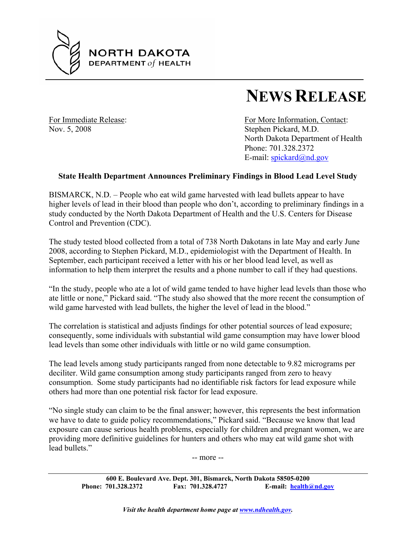

## **NEWS RELEASE**

Nov. 5, 2008 Stephen Pickard, M.D.

For Immediate Release: For More Information, Contact: North Dakota Department of Health Phone: 701.328.2372 E-mail: spickard@nd.gov

## **State Health Department Announces Preliminary Findings in Blood Lead Level Study**

BISMARCK, N.D. – People who eat wild game harvested with lead bullets appear to have higher levels of lead in their blood than people who don't, according to preliminary findings in a study conducted by the North Dakota Department of Health and the U.S. Centers for Disease Control and Prevention (CDC).

The study tested blood collected from a total of 738 North Dakotans in late May and early June 2008, according to Stephen Pickard, M.D., epidemiologist with the Department of Health. In September, each participant received a letter with his or her blood lead level, as well as information to help them interpret the results and a phone number to call if they had questions.

"In the study, people who ate a lot of wild game tended to have higher lead levels than those who ate little or none," Pickard said. "The study also showed that the more recent the consumption of wild game harvested with lead bullets, the higher the level of lead in the blood."

The correlation is statistical and adjusts findings for other potential sources of lead exposure; consequently, some individuals with substantial wild game consumption may have lower blood lead levels than some other individuals with little or no wild game consumption.

The lead levels among study participants ranged from none detectable to 9.82 micrograms per deciliter. Wild game consumption among study participants ranged from zero to heavy consumption. Some study participants had no identifiable risk factors for lead exposure while others had more than one potential risk factor for lead exposure.

"No single study can claim to be the final answer; however, this represents the best information we have to date to guide policy recommendations," Pickard said. "Because we know that lead exposure can cause serious health problems, especially for children and pregnant women, we are providing more definitive guidelines for hunters and others who may eat wild game shot with lead bullets."

-- more --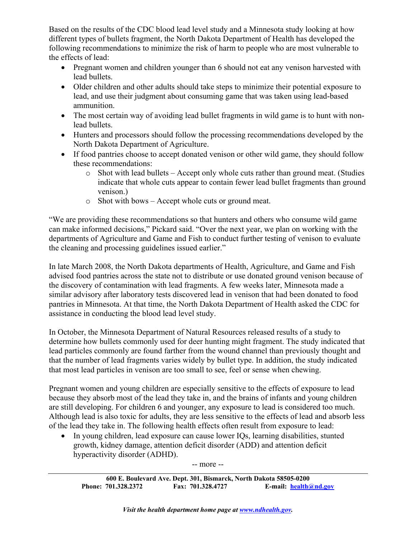Based on the results of the CDC blood lead level study and a Minnesota study looking at how different types of bullets fragment, the North Dakota Department of Health has developed the following recommendations to minimize the risk of harm to people who are most vulnerable to the effects of lead:

- Pregnant women and children younger than 6 should not eat any venison harvested with lead bullets.
- Older children and other adults should take steps to minimize their potential exposure to lead, and use their judgment about consuming game that was taken using lead-based ammunition.
- The most certain way of avoiding lead bullet fragments in wild game is to hunt with nonlead bullets.
- Hunters and processors should follow the processing recommendations developed by the North Dakota Department of Agriculture.
- If food pantries choose to accept donated venison or other wild game, they should follow these recommendations:
	- o Shot with lead bullets Accept only whole cuts rather than ground meat. (Studies indicate that whole cuts appear to contain fewer lead bullet fragments than ground venison.)
	- o Shot with bows Accept whole cuts or ground meat.

"We are providing these recommendations so that hunters and others who consume wild game can make informed decisions," Pickard said. "Over the next year, we plan on working with the departments of Agriculture and Game and Fish to conduct further testing of venison to evaluate the cleaning and processing guidelines issued earlier."

In late March 2008, the North Dakota departments of Health, Agriculture, and Game and Fish advised food pantries across the state not to distribute or use donated ground venison because of the discovery of contamination with lead fragments. A few weeks later, Minnesota made a similar advisory after laboratory tests discovered lead in venison that had been donated to food pantries in Minnesota. At that time, the North Dakota Department of Health asked the CDC for assistance in conducting the blood lead level study.

In October, the Minnesota Department of Natural Resources released results of a study to determine how bullets commonly used for deer hunting might fragment. The study indicated that lead particles commonly are found farther from the wound channel than previously thought and that the number of lead fragments varies widely by bullet type. In addition, the study indicated that most lead particles in venison are too small to see, feel or sense when chewing.

Pregnant women and young children are especially sensitive to the effects of exposure to lead because they absorb most of the lead they take in, and the brains of infants and young children are still developing. For children 6 and younger, any exposure to lead is considered too much. Although lead is also toxic for adults, they are less sensitive to the effects of lead and absorb less of the lead they take in. The following health effects often result from exposure to lead:

• In young children, lead exposure can cause lower IQs, learning disabilities, stunted growth, kidney damage, attention deficit disorder (ADD) and attention deficit hyperactivity disorder (ADHD).

-- more --